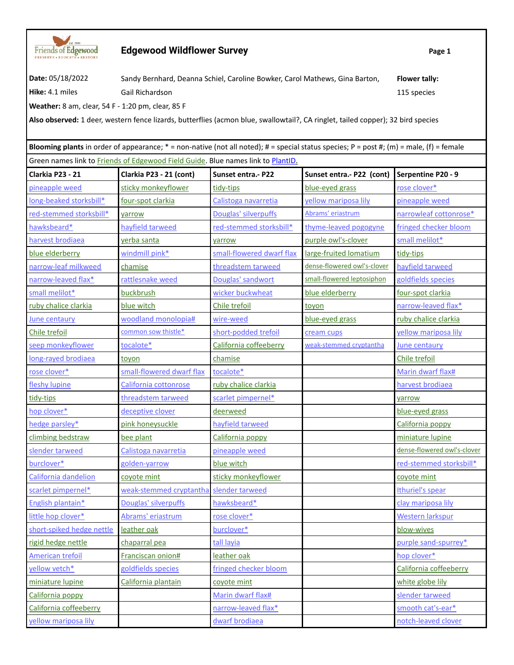

## **Edgewood Wildflower Survey Page 1**

**Date:** 05/18/2022 Sandy Bernhard, Deanna Schiel, Caroline Bowker, Carol Mathews, Gina Barton, **Flower tally: Hike:** 4.1 miles Gail Richardson Gail Richardson 115 species

**Weather:** 8 am, clear, 54 F - 1:20 pm, clear, 85 F

**Also observed:** 1 deer, western fence lizards, butterflies (acmon blue, swallowtail?, CA ringlet, tailed copper); 32 bird species

**Blooming plants** in order of appearance; \* = non-native (not all noted); # = special status species; P = post #; (m) = male, (f) = female Green names link to Friends of Edgewood Field Guide. Blue names link to PlantID.

| Clarkia P23 - 21          | Clarkia P23 - 21 (cont)   | <b>Sunset entra.- P22</b> | Sunset entra.- P22 (cont)   | Serpentine P20 - 9          |
|---------------------------|---------------------------|---------------------------|-----------------------------|-----------------------------|
| pineapple weed            | sticky monkeyflower       | tidy-tips                 | blue-eyed grass             | rose clover*                |
| long-beaked storksbill*   | four-spot clarkia         | Calistoga navarretia      | yellow mariposa lily        | pineapple weed              |
| red-stemmed storksbill*   | varrow                    | Douglas' silverpuffs      | Abrams' eriastrum           | narrowleaf cottonrose*      |
| hawksbeard*               | hayfield tarweed          | red-stemmed storksbill*   | thyme-leaved pogogyne       | fringed checker bloom       |
| harvest brodiaea          | yerba santa               | yarrow                    | purple owl's-clover         | small melilot*              |
| blue elderberry           | windmill pink*            | small-flowered dwarf flax | large-fruited lomatium      | tidy-tips                   |
| narrow-leaf milkweed      | chamise                   | threadstem tarweed        | dense-flowered owl's-clover | hayfield tarweed            |
| narrow-leaved flax*       | rattlesnake weed          | Douglas' sandwort         | small-flowered leptosiphon  | goldfields species          |
| small melilot*            | buckbrush                 | wicker buckwheat          | blue elderberry             | four-spot clarkia           |
| ruby chalice clarkia      | blue witch                | Chile trefoil             | toyon                       | narrow-leaved flax*         |
| June centaury             | woodland monolopia#       | wire-weed                 | blue-eyed grass             | ruby chalice clarkia        |
| Chile trefoil             | common sow thistle*       | short-podded trefoil      | cream cups                  | yellow mariposa lily        |
| seep monkeyflower         | tocalote*                 | California coffeeberry    | weak-stemmed cryptantha     | June centaury               |
| long-rayed brodiaea       | toyon                     | chamise                   |                             | Chile trefoil               |
| rose clover*              | small-flowered dwarf flax | tocalote*                 |                             | Marin dwarf flax#           |
| fleshy lupine             | California cottonrose     | ruby chalice clarkia      |                             | harvest brodiaea            |
| tidy-tips                 | threadstem tarweed        | scarlet pimpernel*        |                             | yarrow                      |
| hop clover*               | deceptive clover          | deerweed                  |                             | blue-eyed grass             |
| hedge parsley*            | pink honeysuckle          | hayfield tarweed          |                             | California poppy            |
| climbing bedstraw         | bee plant                 | California poppy          |                             | miniature lupine            |
| slender tarweed           | Calistoga navarretia      | pineapple weed            |                             | dense-flowered owl's-clover |
| burclover*                | golden-yarrow             | blue witch                |                             | red-stemmed storksbill*     |
| California dandelion      | coyote mint               | sticky monkeyflower       |                             | coyote mint                 |
| scarlet pimpernel*        | weak-stemmed cryptantha   | slender tarweed           |                             | Ithuriel's spear            |
| English plantain*         | Douglas' silverpuffs      | hawksbeard*               |                             | clay mariposa lily          |
| little hop clover*        | Abrams' eriastrum         | rose clover*              |                             | Western larkspur            |
| short-spiked hedge nettle | leather oak               | burclover*                |                             | blow-wives                  |
| rigid hedge nettle        | chaparral pea             | tall layia                |                             | purple sand-spurrey*        |
| American trefoil          | Franciscan onion#         | leather oak               |                             | hop clover*                 |
| yellow vetch*             | goldfields species        | fringed checker bloom     |                             | California coffeeberry      |
| miniature lupine          | California plantain       | coyote mint               |                             | white globe lily            |
| California poppy          |                           | Marin dwarf flax#         |                             | slender tarweed             |
| California coffeeberry    |                           | narrow-leaved flax*       |                             | smooth cat's-ear*           |
| yellow mariposa lily      |                           | dwarf brodiaea            |                             | notch-leaved clover         |